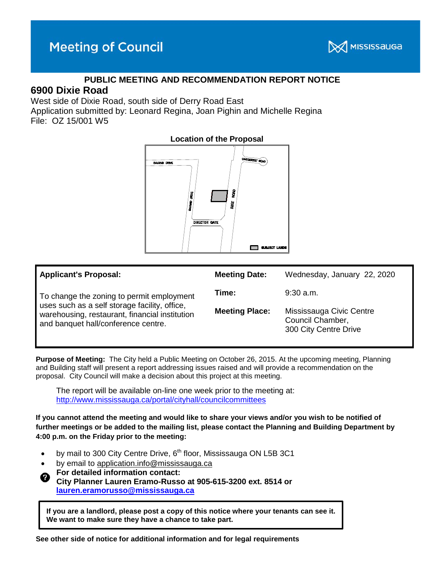

## **PUBLIC MEETING AND RECOMMENDATION REPORT NOTICE**

# **6900 Dixie Road**

West side of Dixie Road, south side of Derry Road East Application submitted by: Leonard Regina, Joan Pighin and Michelle Regina

File: OZ 15/001 W5



| <b>Applicant's Proposal:</b>                                                                                                                                                        | <b>Meeting Date:</b>  | Wednesday, January 22, 2020                                           |
|-------------------------------------------------------------------------------------------------------------------------------------------------------------------------------------|-----------------------|-----------------------------------------------------------------------|
| To change the zoning to permit employment<br>uses such as a self storage facility, office,<br>warehousing, restaurant, financial institution<br>and banquet hall/conference centre. | Time:                 | $9:30$ a.m.                                                           |
|                                                                                                                                                                                     | <b>Meeting Place:</b> | Mississauga Civic Centre<br>Council Chamber,<br>300 City Centre Drive |

**Purpose of Meeting:** The City held a Public Meeting on October 26, 2015. At the upcoming meeting, Planning and Building staff will present a report addressing issues raised and will provide a recommendation on the proposal. City Council will make a decision about this project at this meeting.

The report will be available on-line one week prior to the meeting at: http://www.mississauga.ca/portal/cityhall/councilcommittees

**If you cannot attend the meeting and would like to share your views and/or you wish to be notified of further meetings or be added to the mailing list, please contact the Planning and Building Department by 4:00 p.m. on the Friday prior to the meeting:**

- by mail to 300 City Centre Drive, 6<sup>th</sup> floor, Mississauga ON L5B 3C1
- by email to application.info@mississauga.ca
- **For detailed information contact:**

**City Planner Lauren Eramo-Russo at 905-615-3200 ext. 8514 or [lauren.eramorusso@mississauga.ca](mailto:lauren.eramorusso@mississauga.ca)**

**If you are a landlord, please post a copy of this notice where your tenants can see it. We want to make sure they have a chance to take part.**

**See other side of notice for additional information and for legal requirements**